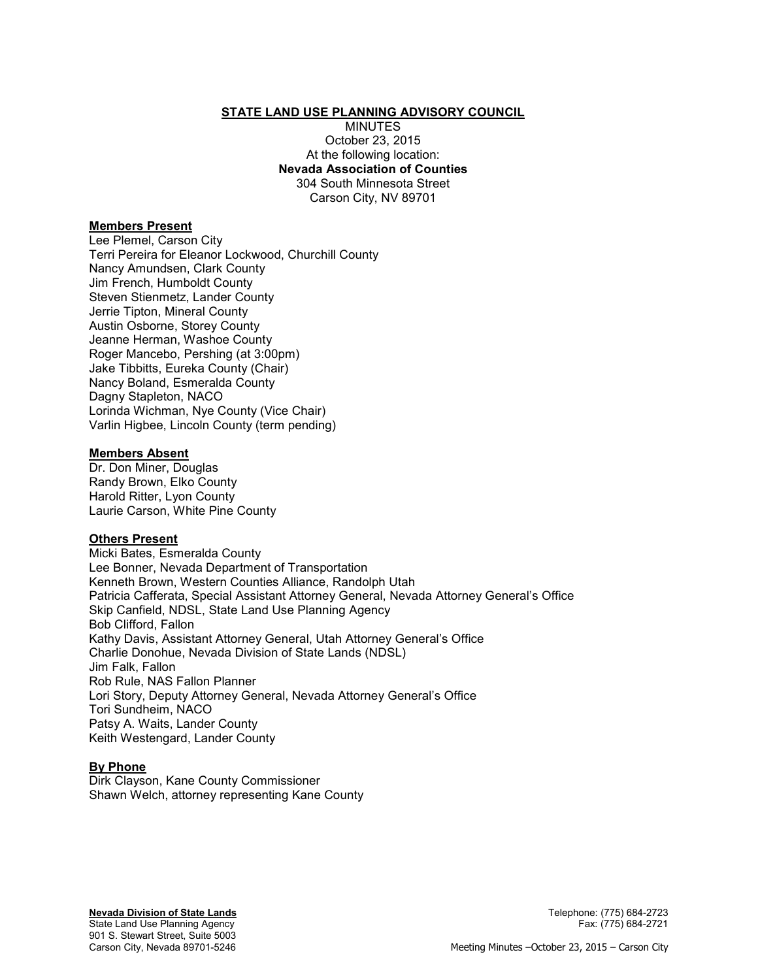### **STATE LAND USE PLANNING ADVISORY COUNCIL**

MINUTES October 23, 2015 At the following location: **Nevada Association of Counties**  304 South Minnesota Street Carson City, NV 89701

### **Members Present**

Lee Plemel, Carson City Terri Pereira for Eleanor Lockwood, Churchill County Nancy Amundsen, Clark County Jim French, Humboldt County Steven Stienmetz, Lander County Jerrie Tipton, Mineral County Austin Osborne, Storey County Jeanne Herman, Washoe County Roger Mancebo, Pershing (at 3:00pm) Jake Tibbitts, Eureka County (Chair) Nancy Boland, Esmeralda County Dagny Stapleton, NACO Lorinda Wichman, Nye County (Vice Chair) Varlin Higbee, Lincoln County (term pending)

### **Members Absent**

Dr. Don Miner, Douglas Randy Brown, Elko County Harold Ritter, Lyon County Laurie Carson, White Pine County

## **Others Present**

Micki Bates, Esmeralda County Lee Bonner, Nevada Department of Transportation Kenneth Brown, Western Counties Alliance, Randolph Utah Patricia Cafferata, Special Assistant Attorney General, Nevada Attorney General's Office Skip Canfield, NDSL, State Land Use Planning Agency Bob Clifford, Fallon Kathy Davis, Assistant Attorney General, Utah Attorney General's Office Charlie Donohue, Nevada Division of State Lands (NDSL) Jim Falk, Fallon Rob Rule, NAS Fallon Planner Lori Story, Deputy Attorney General, Nevada Attorney General's Office Tori Sundheim, NACO Patsy A. Waits, Lander County Keith Westengard, Lander County

## **By Phone**

Dirk Clayson, Kane County Commissioner Shawn Welch, attorney representing Kane County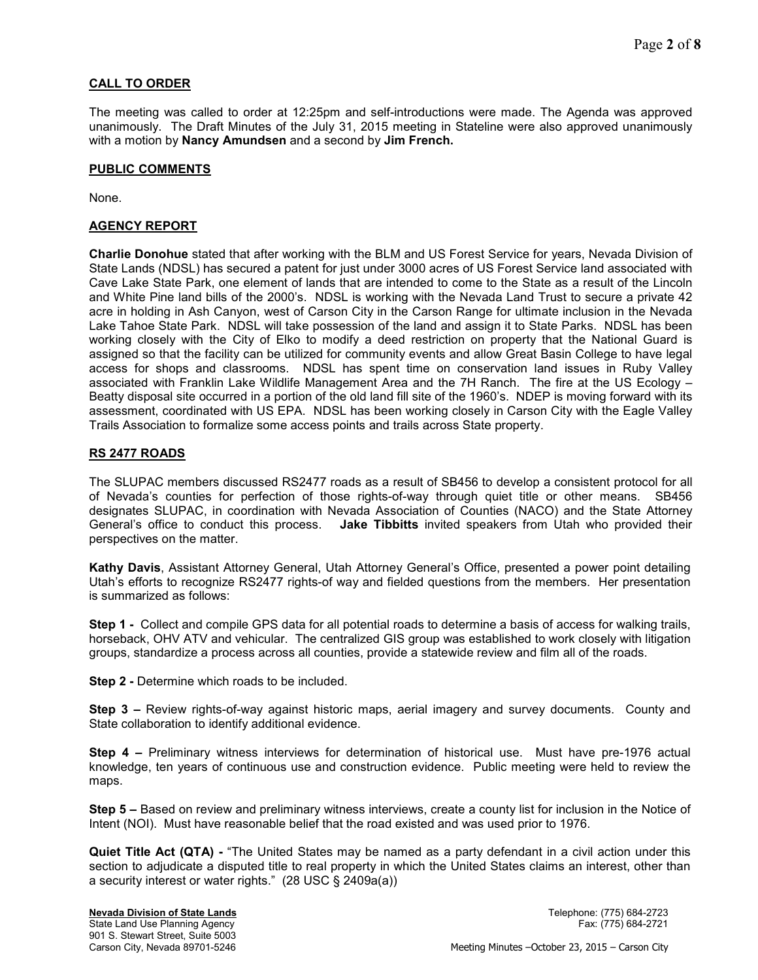# **CALL TO ORDER**

The meeting was called to order at 12:25pm and self-introductions were made. The Agenda was approved unanimously. The Draft Minutes of the July 31, 2015 meeting in Stateline were also approved unanimously with a motion by **Nancy Amundsen** and a second by **Jim French.** 

# **PUBLIC COMMENTS**

None.

# **AGENCY REPORT**

**Charlie Donohue** stated that after working with the BLM and US Forest Service for years, Nevada Division of State Lands (NDSL) has secured a patent for just under 3000 acres of US Forest Service land associated with Cave Lake State Park, one element of lands that are intended to come to the State as a result of the Lincoln and White Pine land bills of the 2000's. NDSL is working with the Nevada Land Trust to secure a private 42 acre in holding in Ash Canyon, west of Carson City in the Carson Range for ultimate inclusion in the Nevada Lake Tahoe State Park. NDSL will take possession of the land and assign it to State Parks. NDSL has been working closely with the City of Elko to modify a deed restriction on property that the National Guard is assigned so that the facility can be utilized for community events and allow Great Basin College to have legal access for shops and classrooms. NDSL has spent time on conservation land issues in Ruby Valley associated with Franklin Lake Wildlife Management Area and the 7H Ranch. The fire at the US Ecology – Beatty disposal site occurred in a portion of the old land fill site of the 1960's. NDEP is moving forward with its assessment, coordinated with US EPA. NDSL has been working closely in Carson City with the Eagle Valley Trails Association to formalize some access points and trails across State property.

# **RS 2477 ROADS**

The SLUPAC members discussed RS2477 roads as a result of SB456 to develop a consistent protocol for all of Nevada's counties for perfection of those rights-of-way through quiet title or other means. SB456 designates SLUPAC, in coordination with Nevada Association of Counties (NACO) and the State Attorney General's office to conduct this process. **Jake Tibbitts** invited speakers from Utah who provided their perspectives on the matter.

**Kathy Davis**, Assistant Attorney General, Utah Attorney General's Office, presented a power point detailing Utah's efforts to recognize RS2477 rights-of way and fielded questions from the members. Her presentation is summarized as follows:

**Step 1 -** Collect and compile GPS data for all potential roads to determine a basis of access for walking trails, horseback, OHV ATV and vehicular. The centralized GIS group was established to work closely with litigation groups, standardize a process across all counties, provide a statewide review and film all of the roads.

**Step 2 -** Determine which roads to be included.

**Step 3 –** Review rights-of-way against historic maps, aerial imagery and survey documents. County and State collaboration to identify additional evidence.

**Step 4 –** Preliminary witness interviews for determination of historical use. Must have pre-1976 actual knowledge, ten years of continuous use and construction evidence. Public meeting were held to review the maps.

**Step 5 –** Based on review and preliminary witness interviews, create a county list for inclusion in the Notice of Intent (NOI). Must have reasonable belief that the road existed and was used prior to 1976.

**Quiet Title Act (QTA) -** "The United States may be named as a party defendant in a civil action under this section to adjudicate a disputed title to real property in which the United States claims an interest, other than a security interest or water rights." (28 USC § 2409a(a))

### **Nevada Division of State Lands** Telephone: (775) 684-2723 State Land Use Planning Agency Fax: (775) 684-2721

901 S. Stewart Street, Suite 5003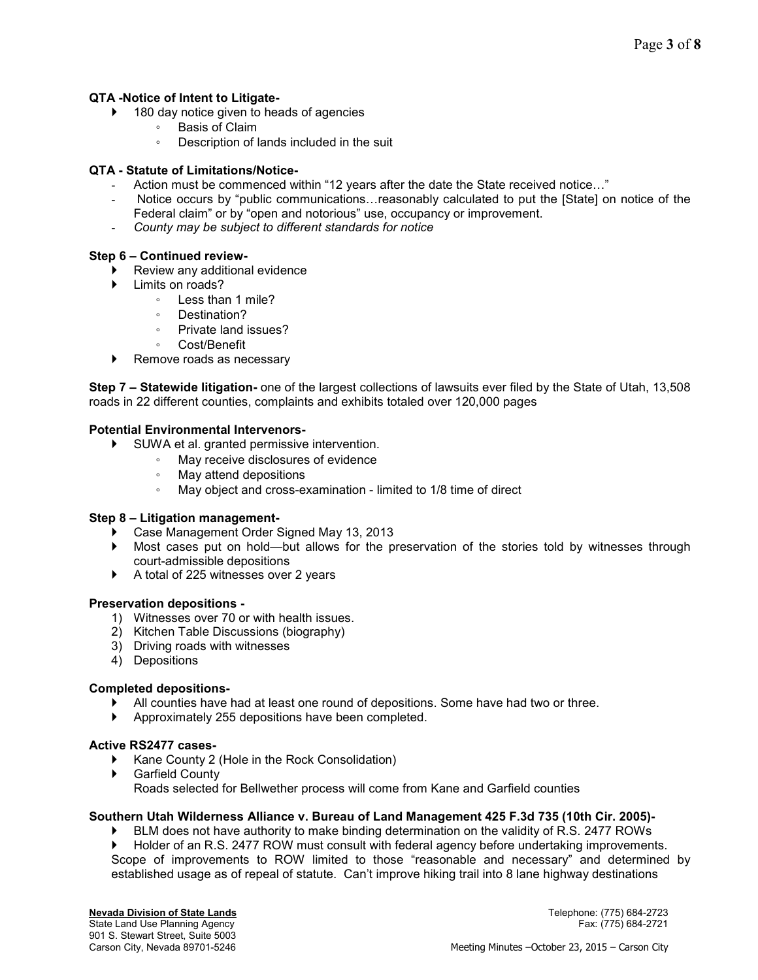# **QTA -Notice of Intent to Litigate-**

- ▶ 180 day notice given to heads of agencies
	- Basis of Claim
	- Description of lands included in the suit

# **QTA - Statute of Limitations/Notice-**

- Action must be commenced within "12 years after the date the State received notice..."
- Notice occurs by "public communications...reasonably calculated to put the [State] on notice of the Federal claim" or by "open and notorious" use, occupancy or improvement.
- *County may be subject to different standards for notice*

# **Step 6 – Continued review-**

- Review any additional evidence
- Limits on roads?
	- Less than 1 mile?
	- Destination?
	- Private land issues?
	- Cost/Benefit
- ▶ Remove roads as necessary

**Step 7 – Statewide litigation-** one of the largest collections of lawsuits ever filed by the State of Utah, 13,508 roads in 22 different counties, complaints and exhibits totaled over 120,000 pages

## **Potential Environmental Intervenors-**

- SUWA et al. granted permissive intervention.
	- May receive disclosures of evidence
	- May attend depositions
	- May object and cross-examination limited to 1/8 time of direct

## **Step 8 – Litigation management-**

- Case Management Order Signed May 13, 2013
- Most cases put on hold—but allows for the preservation of the stories told by witnesses through court-admissible depositions
- A total of 225 witnesses over 2 years

## **Preservation depositions -**

- 1) Witnesses over 70 or with health issues.
- 2) Kitchen Table Discussions (biography)
- 3) Driving roads with witnesses
- 4) Depositions

## **Completed depositions-**

- All counties have had at least one round of depositions. Some have had two or three.
- Approximately 255 depositions have been completed.

## **Active RS2477 cases-**

- ▶ Kane County 2 (Hole in the Rock Consolidation)
- Garfield County Roads selected for Bellwether process will come from Kane and Garfield counties

## **Southern Utah Wilderness Alliance v. Bureau of Land Management 425 F.3d 735 (10th Cir. 2005)-**

- BLM does not have authority to make binding determination on the validity of R.S. 2477 ROWs
- Holder of an R.S. 2477 ROW must consult with federal agency before undertaking improvements. Scope of improvements to ROW limited to those "reasonable and necessary" and determined by established usage as of repeal of statute. Can't improve hiking trail into 8 lane highway destinations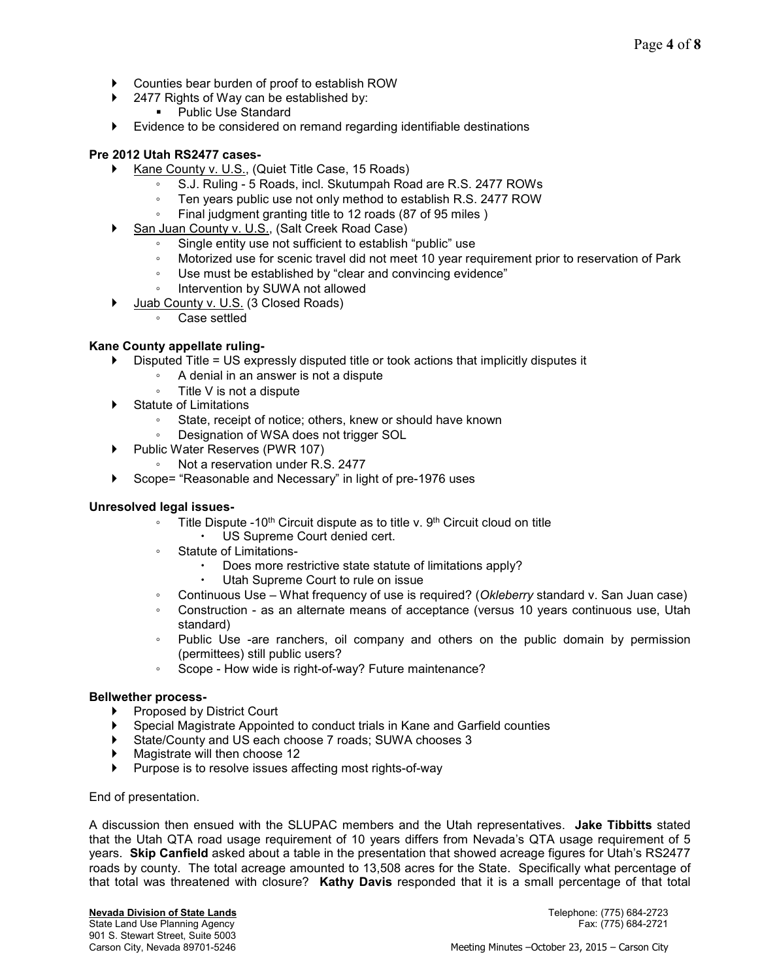- Counties bear burden of proof to establish ROW
- ▶ 2477 Rights of Way can be established by:
	- Public Use Standard
- Evidence to be considered on remand regarding identifiable destinations

# **Pre 2012 Utah RS2477 cases-**

- ▶ Kane County v. U.S., (Quiet Title Case, 15 Roads)
	- S.J. Ruling 5 Roads, incl. Skutumpah Road are R.S. 2477 ROWs
		- Ten years public use not only method to establish R.S. 2477 ROW
	- Final judgment granting title to 12 roads (87 of 95 miles)
- San Juan County v. U.S., (Salt Creek Road Case)
	- Single entity use not sufficient to establish "public" use
	- Motorized use for scenic travel did not meet 10 year requirement prior to reservation of Park
	- Use must be established by "clear and convincing evidence"
	- Intervention by SUWA not allowed
	- Juab County v. U.S. (3 Closed Roads)
		- Case settled

# **Kane County appellate ruling-**

- $\triangleright$  Disputed Title = US expressly disputed title or took actions that implicitly disputes it
	- A denial in an answer is not a dispute
		- Title V is not a dispute
- Statute of Limitations
	- State, receipt of notice; others, knew or should have known
	- Designation of WSA does not trigger SOL
- ▶ Public Water Reserves (PWR 107)
	- Not a reservation under R.S. 2477
- Scope= "Reasonable and Necessary" in light of pre-1976 uses

## **Unresolved legal issues-**

- Title Dispute -10th Circuit dispute as to title v. 9th Circuit cloud on title
	- US Supreme Court denied cert.
- Statute of Limitations-
	- Does more restrictive state statute of limitations apply?
		- Utah Supreme Court to rule on issue
- Continuous Use What frequency of use is required? (*Okleberry* standard v. San Juan case)
- Construction as an alternate means of acceptance (versus 10 years continuous use, Utah standard)
- Public Use -are ranchers, oil company and others on the public domain by permission (permittees) still public users?
- Scope How wide is right-of-way? Future maintenance?

## **Bellwether process-**

- ▶ Proposed by District Court
- Special Magistrate Appointed to conduct trials in Kane and Garfield counties
- State/County and US each choose 7 roads; SUWA chooses 3
- Magistrate will then choose 12
- Purpose is to resolve issues affecting most rights-of-way

## End of presentation.

A discussion then ensued with the SLUPAC members and the Utah representatives. **Jake Tibbitts** stated that the Utah QTA road usage requirement of 10 years differs from Nevada's QTA usage requirement of 5 years. **Skip Canfield** asked about a table in the presentation that showed acreage figures for Utah's RS2477 roads by county. The total acreage amounted to 13,508 acres for the State. Specifically what percentage of that total was threatened with closure? **Kathy Davis** responded that it is a small percentage of that total

State Land Use Planning Agency 901 S. Stewart Street, Suite 5003

**Nevada Division of State Lands** Telephone: (775) 684-2723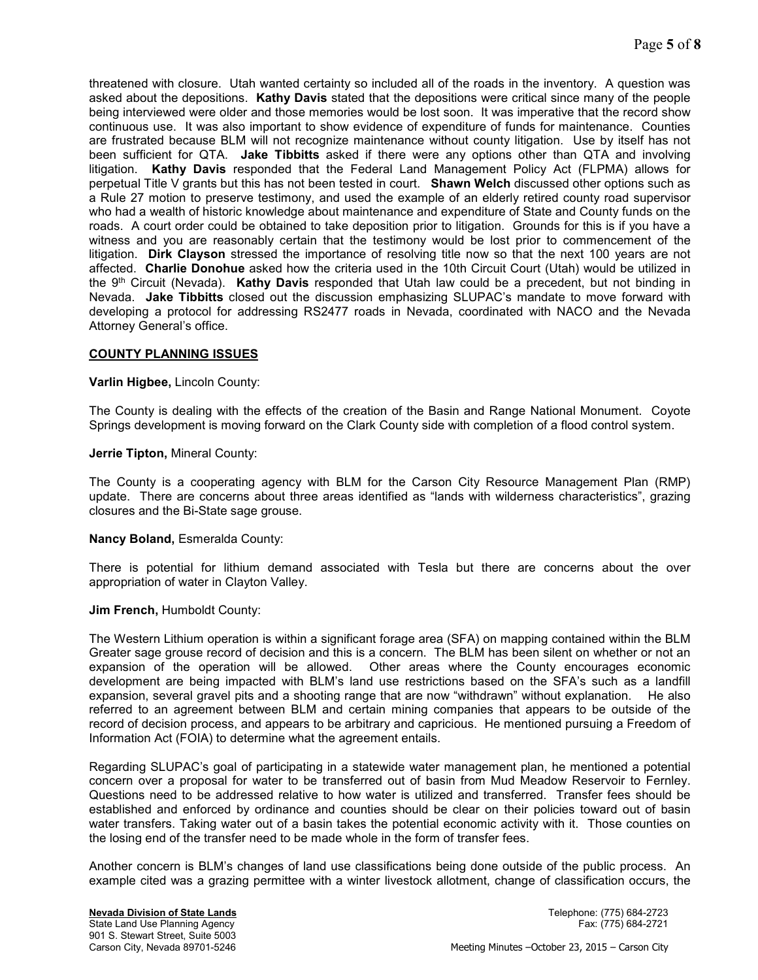threatened with closure. Utah wanted certainty so included all of the roads in the inventory. A question was asked about the depositions. **Kathy Davis** stated that the depositions were critical since many of the people being interviewed were older and those memories would be lost soon. It was imperative that the record show continuous use. It was also important to show evidence of expenditure of funds for maintenance. Counties are frustrated because BLM will not recognize maintenance without county litigation. Use by itself has not been sufficient for QTA. **Jake Tibbitts** asked if there were any options other than QTA and involving litigation. **Kathy Davis** responded that the Federal Land Management Policy Act (FLPMA) allows for perpetual Title V grants but this has not been tested in court. **Shawn Welch** discussed other options such as a Rule 27 motion to preserve testimony, and used the example of an elderly retired county road supervisor who had a wealth of historic knowledge about maintenance and expenditure of State and County funds on the roads. A court order could be obtained to take deposition prior to litigation. Grounds for this is if you have a witness and you are reasonably certain that the testimony would be lost prior to commencement of the litigation. **Dirk Clayson** stressed the importance of resolving title now so that the next 100 years are not affected. **Charlie Donohue** asked how the criteria used in the 10th Circuit Court (Utah) would be utilized in the 9th Circuit (Nevada). **Kathy Davis** responded that Utah law could be a precedent, but not binding in Nevada. **Jake Tibbitts** closed out the discussion emphasizing SLUPAC's mandate to move forward with developing a protocol for addressing RS2477 roads in Nevada, coordinated with NACO and the Nevada Attorney General's office.

## **COUNTY PLANNING ISSUES**

### **Varlin Higbee,** Lincoln County:

The County is dealing with the effects of the creation of the Basin and Range National Monument. Coyote Springs development is moving forward on the Clark County side with completion of a flood control system.

### **Jerrie Tipton,** Mineral County:

The County is a cooperating agency with BLM for the Carson City Resource Management Plan (RMP) update. There are concerns about three areas identified as "lands with wilderness characteristics", grazing closures and the Bi-State sage grouse.

### **Nancy Boland,** Esmeralda County:

There is potential for lithium demand associated with Tesla but there are concerns about the over appropriation of water in Clayton Valley.

### **Jim French,** Humboldt County:

The Western Lithium operation is within a significant forage area (SFA) on mapping contained within the BLM Greater sage grouse record of decision and this is a concern. The BLM has been silent on whether or not an expansion of the operation will be allowed. Other areas where the County encourages economic development are being impacted with BLM's land use restrictions based on the SFA's such as a landfill expansion, several gravel pits and a shooting range that are now "withdrawn" without explanation. He also referred to an agreement between BLM and certain mining companies that appears to be outside of the record of decision process, and appears to be arbitrary and capricious. He mentioned pursuing a Freedom of Information Act (FOIA) to determine what the agreement entails.

Regarding SLUPAC's goal of participating in a statewide water management plan, he mentioned a potential concern over a proposal for water to be transferred out of basin from Mud Meadow Reservoir to Fernley. Questions need to be addressed relative to how water is utilized and transferred. Transfer fees should be established and enforced by ordinance and counties should be clear on their policies toward out of basin water transfers. Taking water out of a basin takes the potential economic activity with it. Those counties on the losing end of the transfer need to be made whole in the form of transfer fees.

Another concern is BLM's changes of land use classifications being done outside of the public process. An example cited was a grazing permittee with a winter livestock allotment, change of classification occurs, the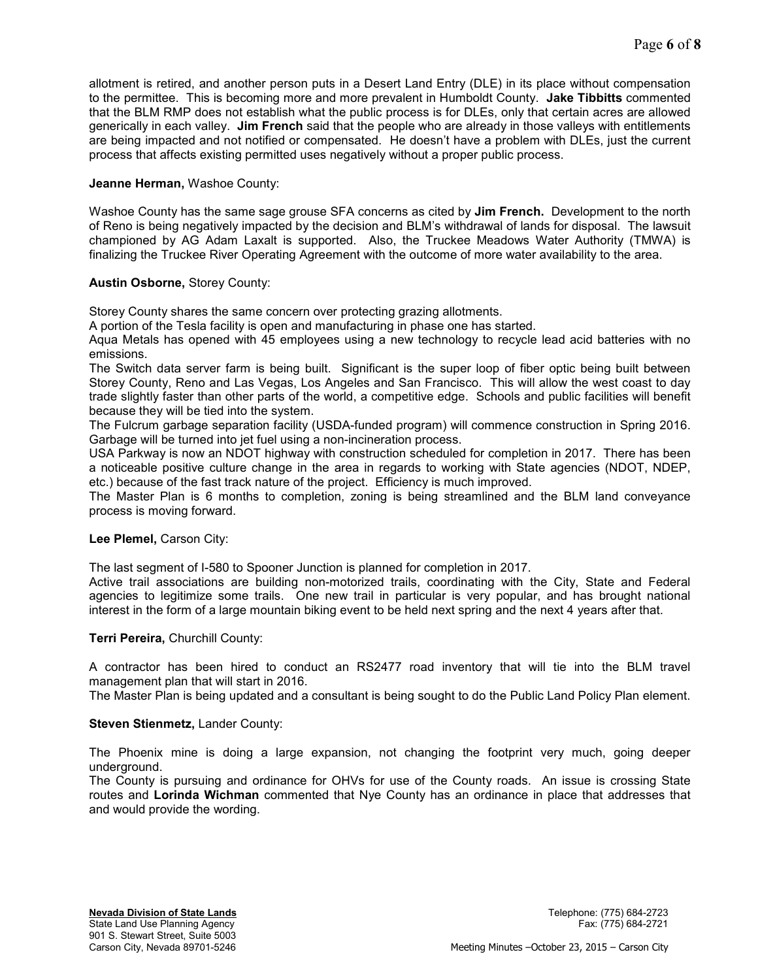allotment is retired, and another person puts in a Desert Land Entry (DLE) in its place without compensation to the permittee. This is becoming more and more prevalent in Humboldt County. **Jake Tibbitts** commented that the BLM RMP does not establish what the public process is for DLEs, only that certain acres are allowed generically in each valley. **Jim French** said that the people who are already in those valleys with entitlements are being impacted and not notified or compensated. He doesn't have a problem with DLEs, just the current process that affects existing permitted uses negatively without a proper public process.

# **Jeanne Herman,** Washoe County:

Washoe County has the same sage grouse SFA concerns as cited by **Jim French.** Development to the north of Reno is being negatively impacted by the decision and BLM's withdrawal of lands for disposal. The lawsuit championed by AG Adam Laxalt is supported. Also, the Truckee Meadows Water Authority (TMWA) is finalizing the Truckee River Operating Agreement with the outcome of more water availability to the area.

# **Austin Osborne,** Storey County:

Storey County shares the same concern over protecting grazing allotments.

A portion of the Tesla facility is open and manufacturing in phase one has started.

Aqua Metals has opened with 45 employees using a new technology to recycle lead acid batteries with no emissions.

The Switch data server farm is being built. Significant is the super loop of fiber optic being built between Storey County, Reno and Las Vegas, Los Angeles and San Francisco. This will allow the west coast to day trade slightly faster than other parts of the world, a competitive edge. Schools and public facilities will benefit because they will be tied into the system.

The Fulcrum garbage separation facility (USDA-funded program) will commence construction in Spring 2016. Garbage will be turned into jet fuel using a non-incineration process.

USA Parkway is now an NDOT highway with construction scheduled for completion in 2017. There has been a noticeable positive culture change in the area in regards to working with State agencies (NDOT, NDEP, etc.) because of the fast track nature of the project. Efficiency is much improved.

The Master Plan is 6 months to completion, zoning is being streamlined and the BLM land conveyance process is moving forward.

## **Lee Plemel,** Carson City:

The last segment of I-580 to Spooner Junction is planned for completion in 2017.

Active trail associations are building non-motorized trails, coordinating with the City, State and Federal agencies to legitimize some trails. One new trail in particular is very popular, and has brought national interest in the form of a large mountain biking event to be held next spring and the next 4 years after that.

## **Terri Pereira,** Churchill County:

A contractor has been hired to conduct an RS2477 road inventory that will tie into the BLM travel management plan that will start in 2016.

The Master Plan is being updated and a consultant is being sought to do the Public Land Policy Plan element.

## **Steven Stienmetz,** Lander County:

The Phoenix mine is doing a large expansion, not changing the footprint very much, going deeper underground.

The County is pursuing and ordinance for OHVs for use of the County roads. An issue is crossing State routes and **Lorinda Wichman** commented that Nye County has an ordinance in place that addresses that and would provide the wording.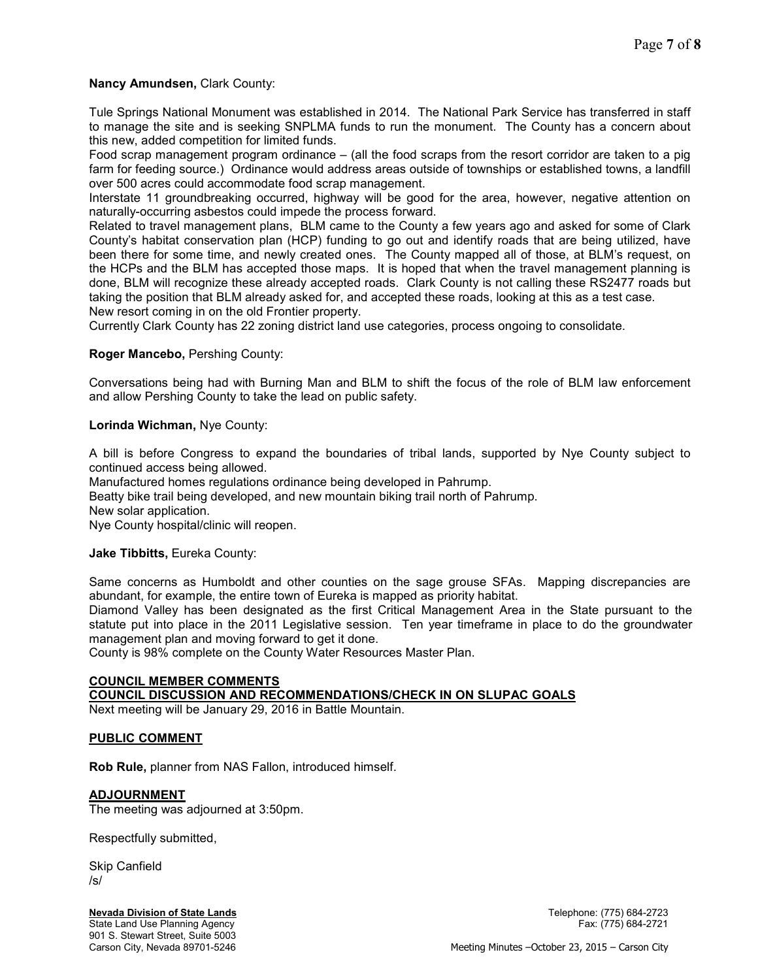# **Nancy Amundsen,** Clark County:

Tule Springs National Monument was established in 2014. The National Park Service has transferred in staff to manage the site and is seeking SNPLMA funds to run the monument. The County has a concern about this new, added competition for limited funds.

Food scrap management program ordinance – (all the food scraps from the resort corridor are taken to a pig farm for feeding source.) Ordinance would address areas outside of townships or established towns, a landfill over 500 acres could accommodate food scrap management.

Interstate 11 groundbreaking occurred, highway will be good for the area, however, negative attention on naturally-occurring asbestos could impede the process forward.

Related to travel management plans, BLM came to the County a few years ago and asked for some of Clark County's habitat conservation plan (HCP) funding to go out and identify roads that are being utilized, have been there for some time, and newly created ones. The County mapped all of those, at BLM's request, on the HCPs and the BLM has accepted those maps. It is hoped that when the travel management planning is done, BLM will recognize these already accepted roads. Clark County is not calling these RS2477 roads but taking the position that BLM already asked for, and accepted these roads, looking at this as a test case. New resort coming in on the old Frontier property.

Currently Clark County has 22 zoning district land use categories, process ongoing to consolidate.

# **Roger Mancebo,** Pershing County:

Conversations being had with Burning Man and BLM to shift the focus of the role of BLM law enforcement and allow Pershing County to take the lead on public safety.

## **Lorinda Wichman,** Nye County:

A bill is before Congress to expand the boundaries of tribal lands, supported by Nye County subject to continued access being allowed.

Manufactured homes regulations ordinance being developed in Pahrump.

Beatty bike trail being developed, and new mountain biking trail north of Pahrump.

New solar application.

Nye County hospital/clinic will reopen.

## **Jake Tibbitts,** Eureka County:

Same concerns as Humboldt and other counties on the sage grouse SFAs. Mapping discrepancies are abundant, for example, the entire town of Eureka is mapped as priority habitat.

Diamond Valley has been designated as the first Critical Management Area in the State pursuant to the statute put into place in the 2011 Legislative session. Ten year timeframe in place to do the groundwater management plan and moving forward to get it done.

County is 98% complete on the County Water Resources Master Plan.

# **COUNCIL MEMBER COMMENTS**

## **COUNCIL DISCUSSION AND RECOMMENDATIONS/CHECK IN ON SLUPAC GOALS**

Next meeting will be January 29, 2016 in Battle Mountain.

## **PUBLIC COMMENT**

**Rob Rule,** planner from NAS Fallon, introduced himself.

## **ADJOURNMENT**

The meeting was adjourned at 3:50pm.

Respectfully submitted,

Skip Canfield /s/

## **Nevada Division of State Lands** Telephone: (775) 684-2723

901 S. Stewart Street, Suite 5003

State Land Use Planning Agency Fax: (775) 684-2721